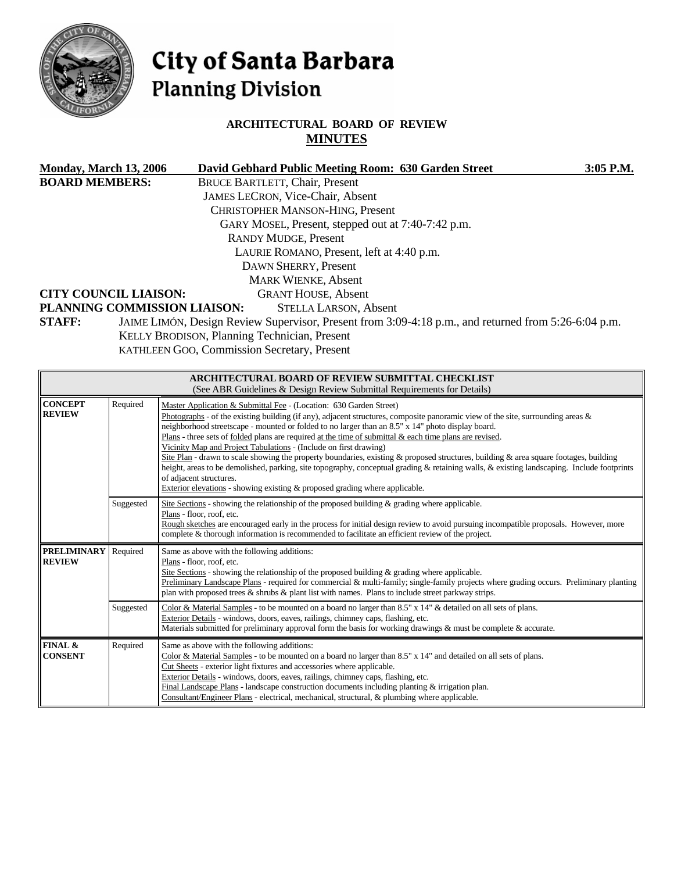

# City of Santa Barbara **Planning Division**

## **ARCHITECTURAL BOARD OF REVIEW MINUTES**

| <b>Monday, March 13, 2006</b> | David Gebhard Public Meeting Room: 630 Garden Street                                                 | $3:05$ P.M. |
|-------------------------------|------------------------------------------------------------------------------------------------------|-------------|
| <b>BOARD MEMBERS:</b>         | <b>BRUCE BARTLETT, Chair, Present</b>                                                                |             |
|                               | <b>JAMES LECRON, Vice-Chair, Absent</b>                                                              |             |
|                               | <b>CHRISTOPHER MANSON-HING, Present</b>                                                              |             |
|                               | GARY MOSEL, Present, stepped out at 7:40-7:42 p.m.                                                   |             |
|                               | <b>RANDY MUDGE, Present</b>                                                                          |             |
|                               | LAURIE ROMANO, Present, left at 4:40 p.m.                                                            |             |
|                               | DAWN SHERRY, Present                                                                                 |             |
|                               | <b>MARK WIENKE, Absent</b>                                                                           |             |
| <b>CITY COUNCIL LIAISON:</b>  | <b>GRANT HOUSE, Absent</b>                                                                           |             |
| PLANNING COMMISSION LIAISON:  | <b>STELLA LARSON, Absent</b>                                                                         |             |
| <b>STAFF:</b>                 | JAIME LIMÓN, Design Review Supervisor, Present from 3:09-4:18 p.m., and returned from 5:26-6:04 p.m. |             |

KELLY BRODISON, Planning Technician, Present

KATHLEEN GOO, Commission Secretary, Present

| <b>ARCHITECTURAL BOARD OF REVIEW SUBMITTAL CHECKLIST</b><br>(See ABR Guidelines & Design Review Submittal Requirements for Details) |           |                                                                                                                                                                                                                                                                                                                                                                                                                                                                                                                                                                                                                                                                                                                                                                                                                                                                                                          |  |  |  |
|-------------------------------------------------------------------------------------------------------------------------------------|-----------|----------------------------------------------------------------------------------------------------------------------------------------------------------------------------------------------------------------------------------------------------------------------------------------------------------------------------------------------------------------------------------------------------------------------------------------------------------------------------------------------------------------------------------------------------------------------------------------------------------------------------------------------------------------------------------------------------------------------------------------------------------------------------------------------------------------------------------------------------------------------------------------------------------|--|--|--|
| <b>CONCEPT</b><br><b>REVIEW</b>                                                                                                     | Required  | Master Application & Submittal Fee - (Location: 630 Garden Street)<br>Photographs - of the existing building (if any), adjacent structures, composite panoramic view of the site, surrounding areas $\&$<br>neighborhood streetscape - mounted or folded to no larger than an 8.5" x 14" photo display board.<br>Plans - three sets of <u>folded</u> plans are required at the time of submittal $\&$ each time plans are revised.<br>Vicinity Map and Project Tabulations - (Include on first drawing)<br>Site Plan - drawn to scale showing the property boundaries, existing & proposed structures, building & area square footages, building<br>height, areas to be demolished, parking, site topography, conceptual grading & retaining walls, & existing landscaping. Include footprints<br>of adjacent structures.<br>Exterior elevations - showing existing & proposed grading where applicable. |  |  |  |
|                                                                                                                                     | Suggested | Site Sections - showing the relationship of the proposed building $\&$ grading where applicable.<br>Plans - floor, roof, etc.<br>Rough sketches are encouraged early in the process for initial design review to avoid pursuing incompatible proposals. However, more<br>complete & thorough information is recommended to facilitate an efficient review of the project.                                                                                                                                                                                                                                                                                                                                                                                                                                                                                                                                |  |  |  |
| <b>PRELIMINARY</b><br><b>REVIEW</b>                                                                                                 | Required  | Same as above with the following additions:<br>Plans - floor, roof, etc.<br>Site Sections - showing the relationship of the proposed building & grading where applicable.<br>Preliminary Landscape Plans - required for commercial & multi-family; single-family projects where grading occurs. Preliminary planting<br>plan with proposed trees $\&$ shrubs $\&$ plant list with names. Plans to include street parkway strips.                                                                                                                                                                                                                                                                                                                                                                                                                                                                         |  |  |  |
|                                                                                                                                     | Suggested | Color & Material Samples - to be mounted on a board no larger than 8.5" x 14" & detailed on all sets of plans.<br>Exterior Details - windows, doors, eaves, railings, chimney caps, flashing, etc.<br>Materials submitted for preliminary approval form the basis for working drawings $\&$ must be complete $\&$ accurate.                                                                                                                                                                                                                                                                                                                                                                                                                                                                                                                                                                              |  |  |  |
| FINAL &<br><b>CONSENT</b>                                                                                                           | Required  | Same as above with the following additions:<br>Color & Material Samples - to be mounted on a board no larger than 8.5" x 14" and detailed on all sets of plans.<br>Cut Sheets - exterior light fixtures and accessories where applicable.<br>Exterior Details - windows, doors, eaves, railings, chimney caps, flashing, etc.<br>Final Landscape Plans - landscape construction documents including planting $&$ irrigation plan.<br>Consultant/Engineer Plans - electrical, mechanical, structural, & plumbing where applicable.                                                                                                                                                                                                                                                                                                                                                                        |  |  |  |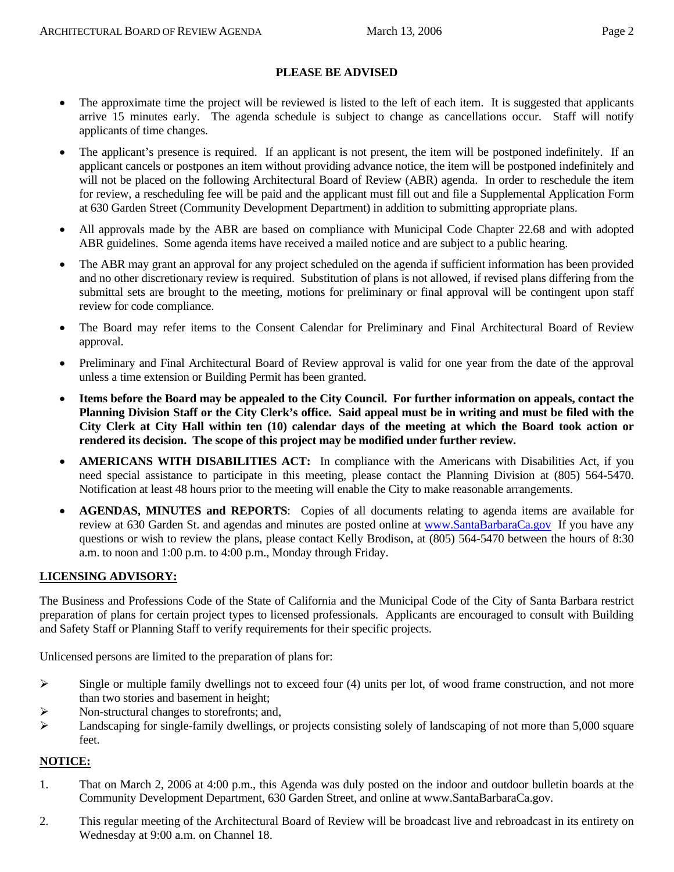#### **PLEASE BE ADVISED**

- The approximate time the project will be reviewed is listed to the left of each item. It is suggested that applicants arrive 15 minutes early. The agenda schedule is subject to change as cancellations occur. Staff will notify applicants of time changes.
- The applicant's presence is required. If an applicant is not present, the item will be postponed indefinitely. If an applicant cancels or postpones an item without providing advance notice, the item will be postponed indefinitely and will not be placed on the following Architectural Board of Review (ABR) agenda. In order to reschedule the item for review, a rescheduling fee will be paid and the applicant must fill out and file a Supplemental Application Form at 630 Garden Street (Community Development Department) in addition to submitting appropriate plans.
- All approvals made by the ABR are based on compliance with Municipal Code Chapter 22.68 and with adopted ABR guidelines. Some agenda items have received a mailed notice and are subject to a public hearing.
- The ABR may grant an approval for any project scheduled on the agenda if sufficient information has been provided and no other discretionary review is required. Substitution of plans is not allowed, if revised plans differing from the submittal sets are brought to the meeting, motions for preliminary or final approval will be contingent upon staff review for code compliance.
- The Board may refer items to the Consent Calendar for Preliminary and Final Architectural Board of Review approval.
- Preliminary and Final Architectural Board of Review approval is valid for one year from the date of the approval unless a time extension or Building Permit has been granted.
- **Items before the Board may be appealed to the City Council. For further information on appeals, contact the Planning Division Staff or the City Clerk's office. Said appeal must be in writing and must be filed with the City Clerk at City Hall within ten (10) calendar days of the meeting at which the Board took action or rendered its decision. The scope of this project may be modified under further review.**
- **AMERICANS WITH DISABILITIES ACT:** In compliance with the Americans with Disabilities Act, if you need special assistance to participate in this meeting, please contact the Planning Division at (805) 564-5470. Notification at least 48 hours prior to the meeting will enable the City to make reasonable arrangements.
- **AGENDAS, MINUTES and REPORTS**: Copies of all documents relating to agenda items are available for review at 630 Garden St. and agendas and minutes are posted online at [www.SantaBarbaraCa.gov](http://www.santabarbaraca.gov/) If you have any questions or wish to review the plans, please contact Kelly Brodison, at (805) 564-5470 between the hours of 8:30 a.m. to noon and 1:00 p.m. to 4:00 p.m., Monday through Friday.

#### **LICENSING ADVISORY:**

The Business and Professions Code of the State of California and the Municipal Code of the City of Santa Barbara restrict preparation of plans for certain project types to licensed professionals. Applicants are encouraged to consult with Building and Safety Staff or Planning Staff to verify requirements for their specific projects.

Unlicensed persons are limited to the preparation of plans for:

- $\triangleright$  Single or multiple family dwellings not to exceed four (4) units per lot, of wood frame construction, and not more than two stories and basement in height;
- ¾ Non-structural changes to storefronts; and,
- ¾ Landscaping for single-family dwellings, or projects consisting solely of landscaping of not more than 5,000 square feet.

#### **NOTICE:**

- 1. That on March 2, 2006 at 4:00 p.m., this Agenda was duly posted on the indoor and outdoor bulletin boards at the Community Development Department, 630 Garden Street, and online at www.SantaBarbaraCa.gov.
- 2. This regular meeting of the Architectural Board of Review will be broadcast live and rebroadcast in its entirety on Wednesday at 9:00 a.m. on Channel 18.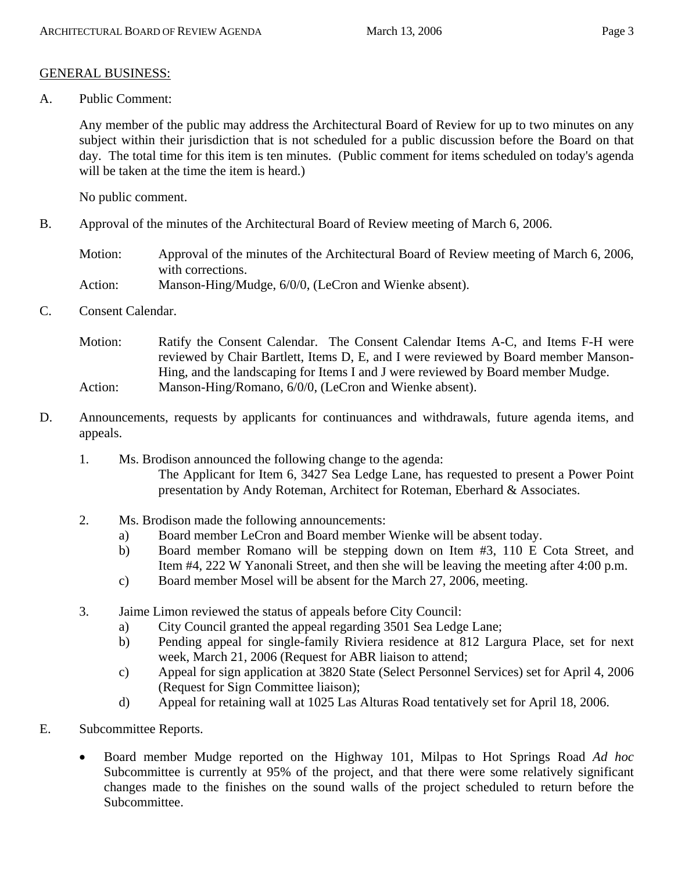#### GENERAL BUSINESS:

A. Public Comment:

Any member of the public may address the Architectural Board of Review for up to two minutes on any subject within their jurisdiction that is not scheduled for a public discussion before the Board on that day. The total time for this item is ten minutes. (Public comment for items scheduled on today's agenda will be taken at the time the item is heard.)

No public comment.

B. Approval of the minutes of the Architectural Board of Review meeting of March 6, 2006.

Motion: Approval of the minutes of the Architectural Board of Review meeting of March 6, 2006, with corrections. Action: Manson-Hing/Mudge, 6/0/0, (LeCron and Wienke absent).

C. Consent Calendar.

Motion: Ratify the Consent Calendar. The Consent Calendar Items A-C, and Items F-H were reviewed by Chair Bartlett, Items D, E, and I were reviewed by Board member Manson-Hing, and the landscaping for Items I and J were reviewed by Board member Mudge. Action: Manson-Hing/Romano, 6/0/0, (LeCron and Wienke absent).

- D. Announcements, requests by applicants for continuances and withdrawals, future agenda items, and appeals.
	- 1. Ms. Brodison announced the following change to the agenda: The Applicant for Item 6, 3427 Sea Ledge Lane, has requested to present a Power Point presentation by Andy Roteman, Architect for Roteman, Eberhard & Associates.
	- 2. Ms. Brodison made the following announcements:
		- a) Board member LeCron and Board member Wienke will be absent today.
		- b) Board member Romano will be stepping down on Item #3, 110 E Cota Street, and Item #4, 222 W Yanonali Street, and then she will be leaving the meeting after 4:00 p.m.
		- c) Board member Mosel will be absent for the March 27, 2006, meeting.
	- 3. Jaime Limon reviewed the status of appeals before City Council:
		- a) City Council granted the appeal regarding 3501 Sea Ledge Lane;
		- b) Pending appeal for single-family Riviera residence at 812 Largura Place, set for next week, March 21, 2006 (Request for ABR liaison to attend;
		- c) Appeal for sign application at 3820 State (Select Personnel Services) set for April 4, 2006 (Request for Sign Committee liaison);
		- d) Appeal for retaining wall at 1025 Las Alturas Road tentatively set for April 18, 2006.
- E. Subcommittee Reports.
	- Board member Mudge reported on the Highway 101, Milpas to Hot Springs Road *Ad hoc* Subcommittee is currently at 95% of the project, and that there were some relatively significant changes made to the finishes on the sound walls of the project scheduled to return before the Subcommittee.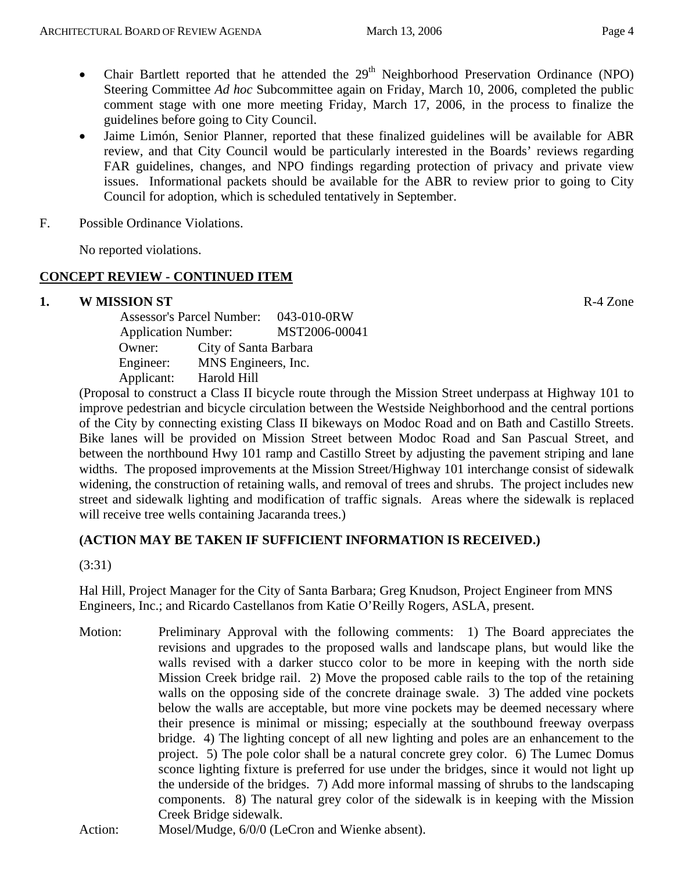- Chair Bartlett reported that he attended the  $29<sup>th</sup>$  Neighborhood Preservation Ordinance (NPO) Steering Committee *Ad hoc* Subcommittee again on Friday, March 10, 2006, completed the public comment stage with one more meeting Friday, March 17, 2006, in the process to finalize the guidelines before going to City Council.
- Jaime Limón, Senior Planner, reported that these finalized guidelines will be available for ABR review, and that City Council would be particularly interested in the Boards' reviews regarding FAR guidelines, changes, and NPO findings regarding protection of privacy and private view issues. Informational packets should be available for the ABR to review prior to going to City Council for adoption, which is scheduled tentatively in September.
- F. Possible Ordinance Violations.

No reported violations.

#### **CONCEPT REVIEW - CONTINUED ITEM**

#### **1. W MISSION ST R-4 Zone**

 Assessor's Parcel Number: 043-010-0RW Application Number: MST2006-00041 Owner: City of Santa Barbara Engineer: MNS Engineers, Inc. Applicant: Harold Hill

(Proposal to construct a Class II bicycle route through the Mission Street underpass at Highway 101 to improve pedestrian and bicycle circulation between the Westside Neighborhood and the central portions of the City by connecting existing Class II bikeways on Modoc Road and on Bath and Castillo Streets. Bike lanes will be provided on Mission Street between Modoc Road and San Pascual Street, and between the northbound Hwy 101 ramp and Castillo Street by adjusting the pavement striping and lane widths. The proposed improvements at the Mission Street/Highway 101 interchange consist of sidewalk widening, the construction of retaining walls, and removal of trees and shrubs. The project includes new street and sidewalk lighting and modification of traffic signals. Areas where the sidewalk is replaced will receive tree wells containing Jacaranda trees.)

## **(ACTION MAY BE TAKEN IF SUFFICIENT INFORMATION IS RECEIVED.)**

(3:31)

Hal Hill, Project Manager for the City of Santa Barbara; Greg Knudson, Project Engineer from MNS Engineers, Inc.; and Ricardo Castellanos from Katie O'Reilly Rogers, ASLA, present.

- Motion: Preliminary Approval with the following comments: 1) The Board appreciates the revisions and upgrades to the proposed walls and landscape plans, but would like the walls revised with a darker stucco color to be more in keeping with the north side Mission Creek bridge rail. 2) Move the proposed cable rails to the top of the retaining walls on the opposing side of the concrete drainage swale. 3) The added vine pockets below the walls are acceptable, but more vine pockets may be deemed necessary where their presence is minimal or missing; especially at the southbound freeway overpass bridge. 4) The lighting concept of all new lighting and poles are an enhancement to the project. 5) The pole color shall be a natural concrete grey color. 6) The Lumec Domus sconce lighting fixture is preferred for use under the bridges, since it would not light up the underside of the bridges. 7) Add more informal massing of shrubs to the landscaping components. 8) The natural grey color of the sidewalk is in keeping with the Mission Creek Bridge sidewalk.
- Action: Mosel/Mudge, 6/0/0 (LeCron and Wienke absent).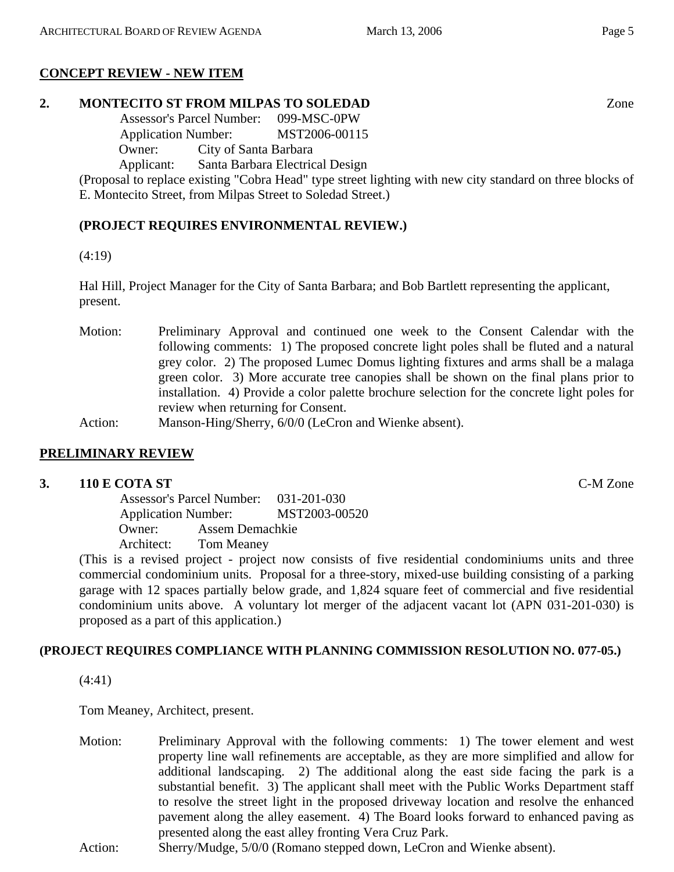# **CONCEPT REVIEW - NEW ITEM**

## **2. MONTECITO ST FROM MILPAS TO SOLEDAD** Zone

 Assessor's Parcel Number: 099-MSC-0PW Application Number: MST2006-00115 Owner: City of Santa Barbara Applicant: Santa Barbara Electrical Design

(Proposal to replace existing "Cobra Head" type street lighting with new city standard on three blocks of E. Montecito Street, from Milpas Street to Soledad Street.)

# **(PROJECT REQUIRES ENVIRONMENTAL REVIEW.)**

(4:19)

Hal Hill, Project Manager for the City of Santa Barbara; and Bob Bartlett representing the applicant, present.

Motion: Preliminary Approval and continued one week to the Consent Calendar with the following comments: 1) The proposed concrete light poles shall be fluted and a natural grey color. 2) The proposed Lumec Domus lighting fixtures and arms shall be a malaga green color. 3) More accurate tree canopies shall be shown on the final plans prior to installation. 4) Provide a color palette brochure selection for the concrete light poles for review when returning for Consent.

Action: Manson-Hing/Sherry, 6/0/0 (LeCron and Wienke absent).

# **PRELIMINARY REVIEW**

## **3. 110 E COTA ST** C-M Zone

 Assessor's Parcel Number: 031-201-030 Application Number: MST2003-00520 Owner: Assem Demachkie Architect: Tom Meaney

(This is a revised project - project now consists of five residential condominiums units and three commercial condominium units. Proposal for a three-story, mixed-use building consisting of a parking garage with 12 spaces partially below grade, and 1,824 square feet of commercial and five residential condominium units above. A voluntary lot merger of the adjacent vacant lot (APN 031-201-030) is proposed as a part of this application.)

# **(PROJECT REQUIRES COMPLIANCE WITH PLANNING COMMISSION RESOLUTION NO. 077-05.)**

(4:41)

Tom Meaney, Architect, present.

- Motion: Preliminary Approval with the following comments: 1) The tower element and west property line wall refinements are acceptable, as they are more simplified and allow for additional landscaping. 2) The additional along the east side facing the park is a substantial benefit. 3) The applicant shall meet with the Public Works Department staff to resolve the street light in the proposed driveway location and resolve the enhanced pavement along the alley easement. 4) The Board looks forward to enhanced paving as presented along the east alley fronting Vera Cruz Park.
- Action: Sherry/Mudge, 5/0/0 (Romano stepped down, LeCron and Wienke absent).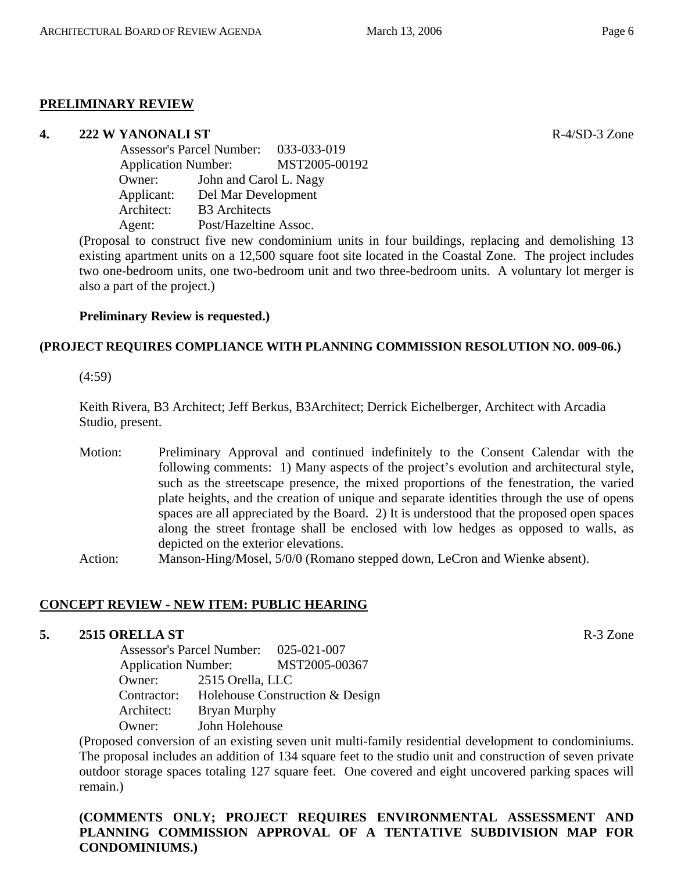## **PRELIMINARY REVIEW**

#### **4. 222 W YANONALI ST R-4/SD-3** Zone

|  | Assessor's Parcel Number: 033-033-019<br><b>Application Number:</b><br>John and Carol L. Nagy<br>Owner: |                       |               |
|--|---------------------------------------------------------------------------------------------------------|-----------------------|---------------|
|  |                                                                                                         |                       | MST2005-00192 |
|  |                                                                                                         |                       |               |
|  | Applicant:                                                                                              | Del Mar Development   |               |
|  | Architect:                                                                                              | <b>B3</b> Architects  |               |
|  | Agent:                                                                                                  | Post/Hazeltine Assoc. |               |
|  |                                                                                                         |                       |               |

(Proposal to construct five new condominium units in four buildings, replacing and demolishing 13 existing apartment units on a 12,500 square foot site located in the Coastal Zone. The project includes two one-bedroom units, one two-bedroom unit and two three-bedroom units. A voluntary lot merger is also a part of the project.)

## **Preliminary Review is requested.)**

# **(PROJECT REQUIRES COMPLIANCE WITH PLANNING COMMISSION RESOLUTION NO. 009-06.)**

(4:59)

Keith Rivera, B3 Architect; Jeff Berkus, B3Architect; Derrick Eichelberger, Architect with Arcadia Studio, present.

Motion: Preliminary Approval and continued indefinitely to the Consent Calendar with the following comments: 1) Many aspects of the project's evolution and architectural style, such as the streetscape presence, the mixed proportions of the fenestration, the varied plate heights, and the creation of unique and separate identities through the use of opens spaces are all appreciated by the Board. 2) It is understood that the proposed open spaces along the street frontage shall be enclosed with low hedges as opposed to walls, as depicted on the exterior elevations.

Action: Manson-Hing/Mosel, 5/0/0 (Romano stepped down, LeCron and Wienke absent).

# **CONCEPT REVIEW - NEW ITEM: PUBLIC HEARING**

## **5. 2515 ORELLA ST** R-3 Zone

 Assessor's Parcel Number: 025-021-007 Application Number: MST2005-00367 Owner: 2515 Orella, LLC Contractor: Holehouse Construction & Design Architect: Bryan Murphy Owner: John Holehouse

(Proposed conversion of an existing seven unit multi-family residential development to condominiums. The proposal includes an addition of 134 square feet to the studio unit and construction of seven private outdoor storage spaces totaling 127 square feet. One covered and eight uncovered parking spaces will remain.)

#### **(COMMENTS ONLY; PROJECT REQUIRES ENVIRONMENTAL ASSESSMENT AND PLANNING COMMISSION APPROVAL OF A TENTATIVE SUBDIVISION MAP FOR CONDOMINIUMS.)**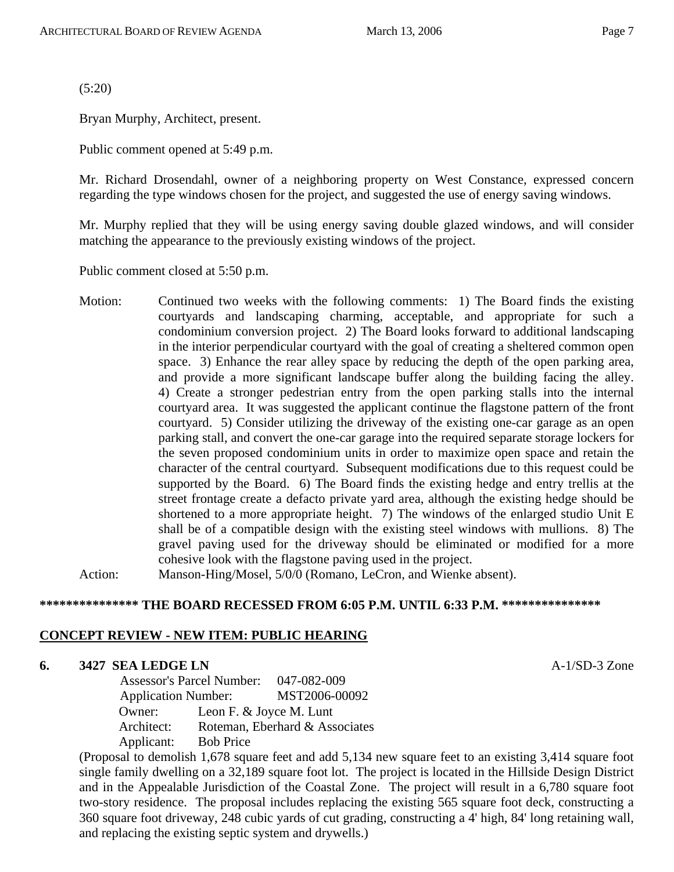(5:20)

Bryan Murphy, Architect, present.

Public comment opened at 5:49 p.m.

Mr. Richard Drosendahl, owner of a neighboring property on West Constance, expressed concern regarding the type windows chosen for the project, and suggested the use of energy saving windows.

Mr. Murphy replied that they will be using energy saving double glazed windows, and will consider matching the appearance to the previously existing windows of the project.

Public comment closed at 5:50 p.m.

Motion: Continued two weeks with the following comments: 1) The Board finds the existing courtyards and landscaping charming, acceptable, and appropriate for such a condominium conversion project. 2) The Board looks forward to additional landscaping in the interior perpendicular courtyard with the goal of creating a sheltered common open space. 3) Enhance the rear alley space by reducing the depth of the open parking area, and provide a more significant landscape buffer along the building facing the alley. 4) Create a stronger pedestrian entry from the open parking stalls into the internal courtyard area. It was suggested the applicant continue the flagstone pattern of the front courtyard. 5) Consider utilizing the driveway of the existing one-car garage as an open parking stall, and convert the one-car garage into the required separate storage lockers for the seven proposed condominium units in order to maximize open space and retain the character of the central courtyard. Subsequent modifications due to this request could be supported by the Board. 6) The Board finds the existing hedge and entry trellis at the street frontage create a defacto private yard area, although the existing hedge should be shortened to a more appropriate height. 7) The windows of the enlarged studio Unit E shall be of a compatible design with the existing steel windows with mullions. 8) The gravel paving used for the driveway should be eliminated or modified for a more cohesive look with the flagstone paving used in the project.

Action: Manson-Hing/Mosel, 5/0/0 (Romano, LeCron, and Wienke absent).

#### **\*\*\*\*\*\*\*\*\*\*\*\*\*\*\* THE BOARD RECESSED FROM 6:05 P.M. UNTIL 6:33 P.M. \*\*\*\*\*\*\*\*\*\*\*\*\*\*\***

#### **CONCEPT REVIEW - NEW ITEM: PUBLIC HEARING**

#### **6. 3427 SEA LEDGE LN A-1/SD-3 Zone**

 Assessor's Parcel Number: 047-082-009 Application Number: MST2006-00092 Owner: Leon F. & Joyce M. Lunt Architect: Roteman, Eberhard & Associates Applicant: Bob Price

(Proposal to demolish 1,678 square feet and add 5,134 new square feet to an existing 3,414 square foot single family dwelling on a 32,189 square foot lot. The project is located in the Hillside Design District and in the Appealable Jurisdiction of the Coastal Zone. The project will result in a 6,780 square foot two-story residence. The proposal includes replacing the existing 565 square foot deck, constructing a 360 square foot driveway, 248 cubic yards of cut grading, constructing a 4' high, 84' long retaining wall, and replacing the existing septic system and drywells.)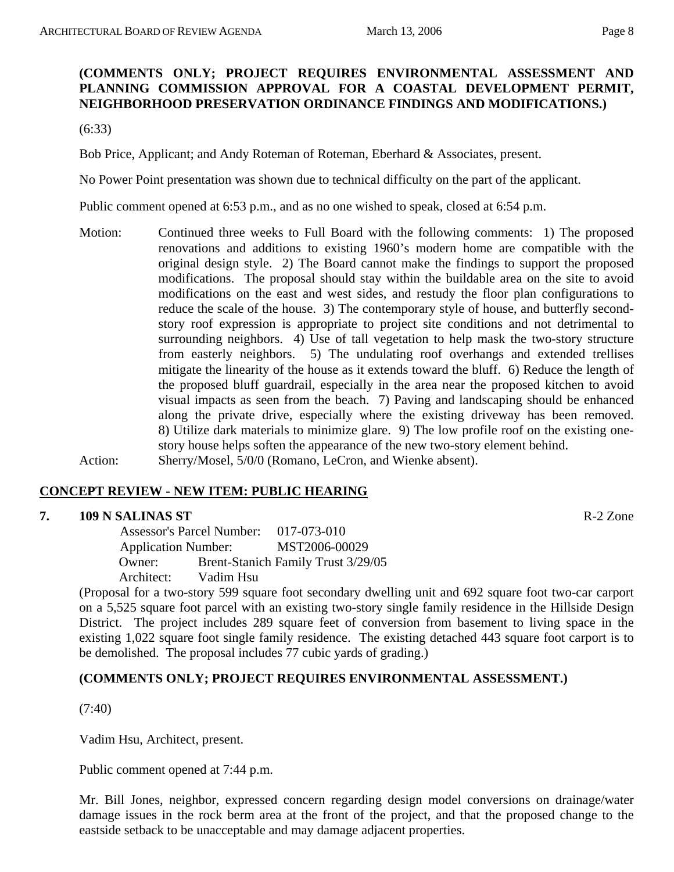## **(COMMENTS ONLY; PROJECT REQUIRES ENVIRONMENTAL ASSESSMENT AND PLANNING COMMISSION APPROVAL FOR A COASTAL DEVELOPMENT PERMIT, NEIGHBORHOOD PRESERVATION ORDINANCE FINDINGS AND MODIFICATIONS.)**

(6:33)

Bob Price, Applicant; and Andy Roteman of Roteman, Eberhard & Associates, present.

No Power Point presentation was shown due to technical difficulty on the part of the applicant.

Public comment opened at 6:53 p.m., and as no one wished to speak, closed at 6:54 p.m.

Motion: Continued three weeks to Full Board with the following comments: 1) The proposed renovations and additions to existing 1960's modern home are compatible with the original design style. 2) The Board cannot make the findings to support the proposed modifications. The proposal should stay within the buildable area on the site to avoid modifications on the east and west sides, and restudy the floor plan configurations to reduce the scale of the house. 3) The contemporary style of house, and butterfly secondstory roof expression is appropriate to project site conditions and not detrimental to surrounding neighbors. 4) Use of tall vegetation to help mask the two-story structure from easterly neighbors. 5) The undulating roof overhangs and extended trellises mitigate the linearity of the house as it extends toward the bluff. 6) Reduce the length of the proposed bluff guardrail, especially in the area near the proposed kitchen to avoid visual impacts as seen from the beach. 7) Paving and landscaping should be enhanced along the private drive, especially where the existing driveway has been removed. 8) Utilize dark materials to minimize glare. 9) The low profile roof on the existing onestory house helps soften the appearance of the new two-story element behind. Action: Sherry/Mosel, 5/0/0 (Romano, LeCron, and Wienke absent).

#### **CONCEPT REVIEW - NEW ITEM: PUBLIC HEARING**

#### **7. 109 N SALINAS ST** R-2 Zone

 Assessor's Parcel Number: 017-073-010 Application Number: MST2006-00029 Owner: Brent-Stanich Family Trust 3/29/05 Architect: Vadim Hsu

(Proposal for a two-story 599 square foot secondary dwelling unit and 692 square foot two-car carport on a 5,525 square foot parcel with an existing two-story single family residence in the Hillside Design District. The project includes 289 square feet of conversion from basement to living space in the existing 1,022 square foot single family residence. The existing detached 443 square foot carport is to be demolished. The proposal includes 77 cubic yards of grading.)

## **(COMMENTS ONLY; PROJECT REQUIRES ENVIRONMENTAL ASSESSMENT.)**

(7:40)

Vadim Hsu, Architect, present.

Public comment opened at 7:44 p.m.

Mr. Bill Jones, neighbor, expressed concern regarding design model conversions on drainage/water damage issues in the rock berm area at the front of the project, and that the proposed change to the eastside setback to be unacceptable and may damage adjacent properties.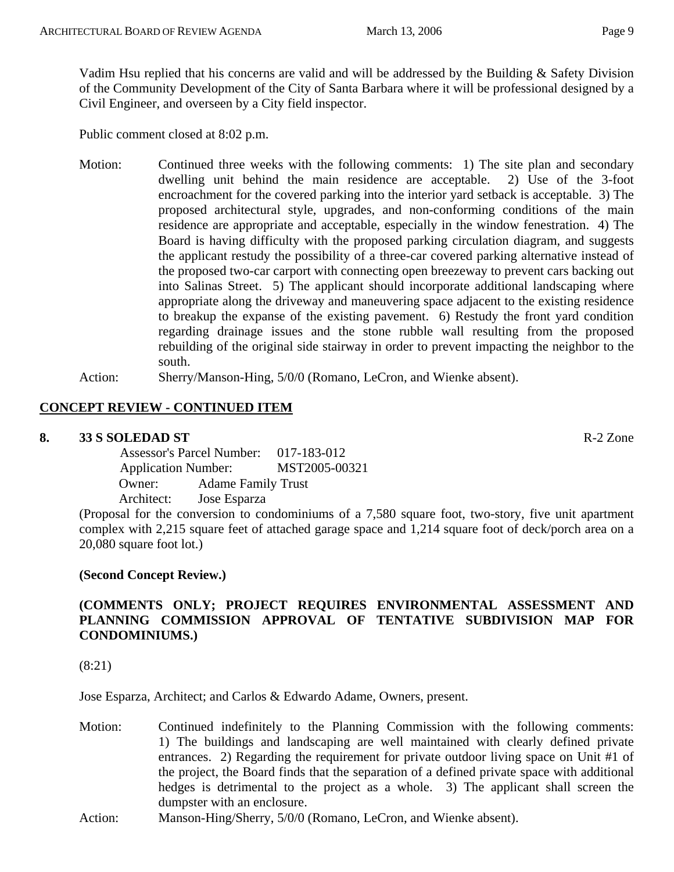Vadim Hsu replied that his concerns are valid and will be addressed by the Building & Safety Division of the Community Development of the City of Santa Barbara where it will be professional designed by a Civil Engineer, and overseen by a City field inspector.

Public comment closed at 8:02 p.m.

- Motion: Continued three weeks with the following comments: 1) The site plan and secondary dwelling unit behind the main residence are acceptable. 2) Use of the 3-foot encroachment for the covered parking into the interior yard setback is acceptable. 3) The proposed architectural style, upgrades, and non-conforming conditions of the main residence are appropriate and acceptable, especially in the window fenestration. 4) The Board is having difficulty with the proposed parking circulation diagram, and suggests the applicant restudy the possibility of a three-car covered parking alternative instead of the proposed two-car carport with connecting open breezeway to prevent cars backing out into Salinas Street. 5) The applicant should incorporate additional landscaping where appropriate along the driveway and maneuvering space adjacent to the existing residence to breakup the expanse of the existing pavement. 6) Restudy the front yard condition regarding drainage issues and the stone rubble wall resulting from the proposed rebuilding of the original side stairway in order to prevent impacting the neighbor to the south.
- Action: Sherry/Manson-Hing, 5/0/0 (Romano, LeCron, and Wienke absent).

#### **CONCEPT REVIEW - CONTINUED ITEM**

#### **8. 33 S SOLEDAD ST** R-2 Zone

 Assessor's Parcel Number: 017-183-012 Application Number: MST2005-00321 Owner: Adame Family Trust Architect: Jose Esparza

(Proposal for the conversion to condominiums of a 7,580 square foot, two-story, five unit apartment complex with 2,215 square feet of attached garage space and 1,214 square foot of deck/porch area on a 20,080 square foot lot.)

#### **(Second Concept Review.)**

#### **(COMMENTS ONLY; PROJECT REQUIRES ENVIRONMENTAL ASSESSMENT AND PLANNING COMMISSION APPROVAL OF TENTATIVE SUBDIVISION MAP FOR CONDOMINIUMS.)**

(8:21)

Jose Esparza, Architect; and Carlos & Edwardo Adame, Owners, present.

- Motion: Continued indefinitely to the Planning Commission with the following comments: 1) The buildings and landscaping are well maintained with clearly defined private entrances. 2) Regarding the requirement for private outdoor living space on Unit #1 of the project, the Board finds that the separation of a defined private space with additional hedges is detrimental to the project as a whole. 3) The applicant shall screen the dumpster with an enclosure.
- Action: Manson-Hing/Sherry, 5/0/0 (Romano, LeCron, and Wienke absent).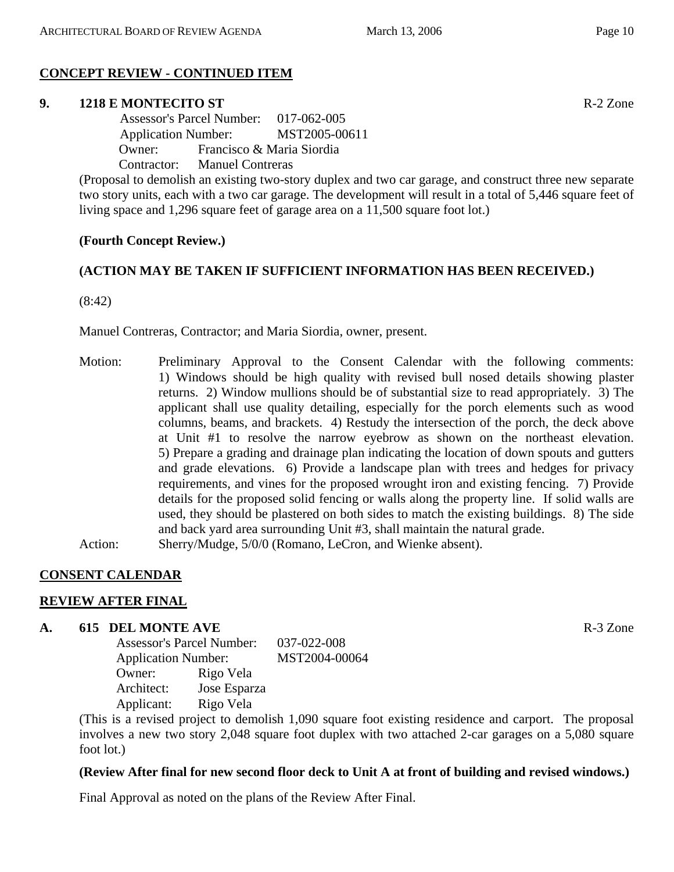# **CONCEPT REVIEW - CONTINUED ITEM**

## **9. 1218 E MONTECITO ST** R-2 Zone

 Assessor's Parcel Number: 017-062-005 Application Number: MST2005-00611 Owner: Francisco & Maria Siordia Contractor: Manuel Contreras

(Proposal to demolish an existing two-story duplex and two car garage, and construct three new separate two story units, each with a two car garage. The development will result in a total of 5,446 square feet of living space and 1,296 square feet of garage area on a 11,500 square foot lot.)

# **(Fourth Concept Review.)**

# **(ACTION MAY BE TAKEN IF SUFFICIENT INFORMATION HAS BEEN RECEIVED.)**

(8:42)

Manuel Contreras, Contractor; and Maria Siordia, owner, present.

Motion: Preliminary Approval to the Consent Calendar with the following comments: 1) Windows should be high quality with revised bull nosed details showing plaster returns. 2) Window mullions should be of substantial size to read appropriately. 3) The applicant shall use quality detailing, especially for the porch elements such as wood columns, beams, and brackets. 4) Restudy the intersection of the porch, the deck above at Unit #1 to resolve the narrow eyebrow as shown on the northeast elevation. 5) Prepare a grading and drainage plan indicating the location of down spouts and gutters and grade elevations. 6) Provide a landscape plan with trees and hedges for privacy requirements, and vines for the proposed wrought iron and existing fencing. 7) Provide details for the proposed solid fencing or walls along the property line. If solid walls are used, they should be plastered on both sides to match the existing buildings. 8) The side and back yard area surrounding Unit #3, shall maintain the natural grade.

Action: Sherry/Mudge, 5/0/0 (Romano, LeCron, and Wienke absent).

#### **CONSENT CALENDAR**

#### **REVIEW AFTER FINAL**

#### **A. 615 DEL MONTE AVE** R-3 Zone

Assessor's Parcel Number: 037-022-008 Application Number: MST2004-00064 Owner: Rigo Vela Architect: Jose Esparza Applicant: Rigo Vela

(This is a revised project to demolish 1,090 square foot existing residence and carport. The proposal involves a new two story 2,048 square foot duplex with two attached 2-car garages on a 5,080 square foot lot.)

#### **(Review After final for new second floor deck to Unit A at front of building and revised windows.)**

Final Approval as noted on the plans of the Review After Final.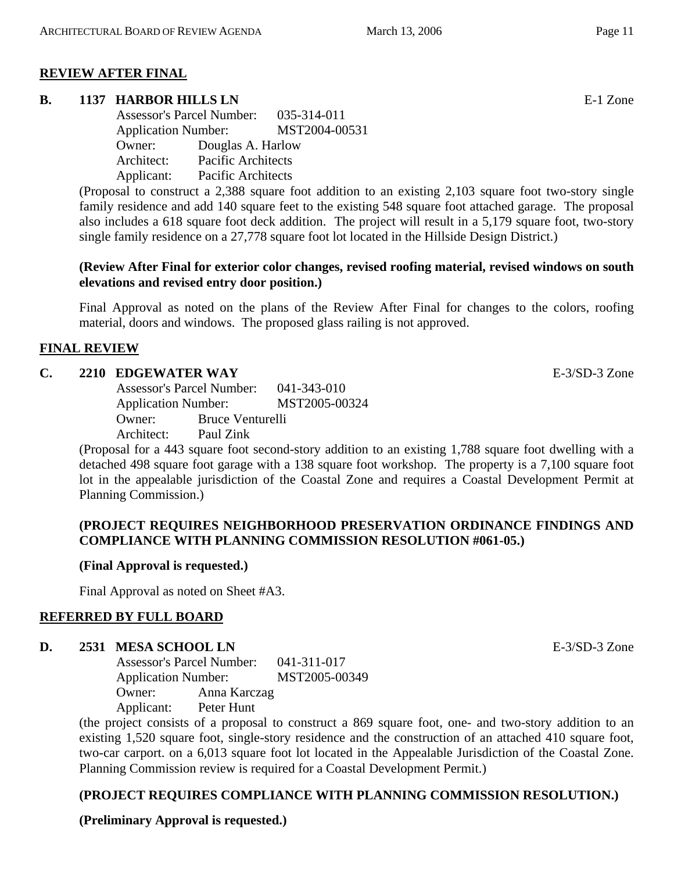# **REVIEW AFTER FINAL**

## **B.** 1137 HARBOR HILLS LN **E-1** Zone

Assessor's Parcel Number: 035-314-011 Application Number: MST2004-00531 Owner: Douglas A. Harlow Architect: Pacific Architects Applicant: Pacific Architects

(Proposal to construct a 2,388 square foot addition to an existing 2,103 square foot two-story single family residence and add 140 square feet to the existing 548 square foot attached garage. The proposal also includes a 618 square foot deck addition. The project will result in a 5,179 square foot, two-story single family residence on a 27,778 square foot lot located in the Hillside Design District.)

#### **(Review After Final for exterior color changes, revised roofing material, revised windows on south elevations and revised entry door position.)**

Final Approval as noted on the plans of the Review After Final for changes to the colors, roofing material, doors and windows. The proposed glass railing is not approved.

# **FINAL REVIEW**

## **C. 2210 EDGEWATER WAY** E-3/SD-3 Zone

Assessor's Parcel Number: 041-343-010 Application Number: MST2005-00324 Owner: Bruce Venturelli Architect: Paul Zink

(Proposal for a 443 square foot second-story addition to an existing 1,788 square foot dwelling with a detached 498 square foot garage with a 138 square foot workshop. The property is a 7,100 square foot lot in the appealable jurisdiction of the Coastal Zone and requires a Coastal Development Permit at Planning Commission.)

#### **(PROJECT REQUIRES NEIGHBORHOOD PRESERVATION ORDINANCE FINDINGS AND COMPLIANCE WITH PLANNING COMMISSION RESOLUTION #061-05.)**

# **(Final Approval is requested.)**

Final Approval as noted on Sheet #A3.

# **REFERRED BY FULL BOARD**

## **D. 2531 MESA SCHOOL LN E-3/SD-3** Zone

Assessor's Parcel Number: 041-311-017 Application Number: MST2005-00349 Owner: Anna Karczag Applicant: Peter Hunt

(the project consists of a proposal to construct a 869 square foot, one- and two-story addition to an existing 1,520 square foot, single-story residence and the construction of an attached 410 square foot, two-car carport. on a 6,013 square foot lot located in the Appealable Jurisdiction of the Coastal Zone. Planning Commission review is required for a Coastal Development Permit.)

# **(PROJECT REQUIRES COMPLIANCE WITH PLANNING COMMISSION RESOLUTION.)**

**(Preliminary Approval is requested.)**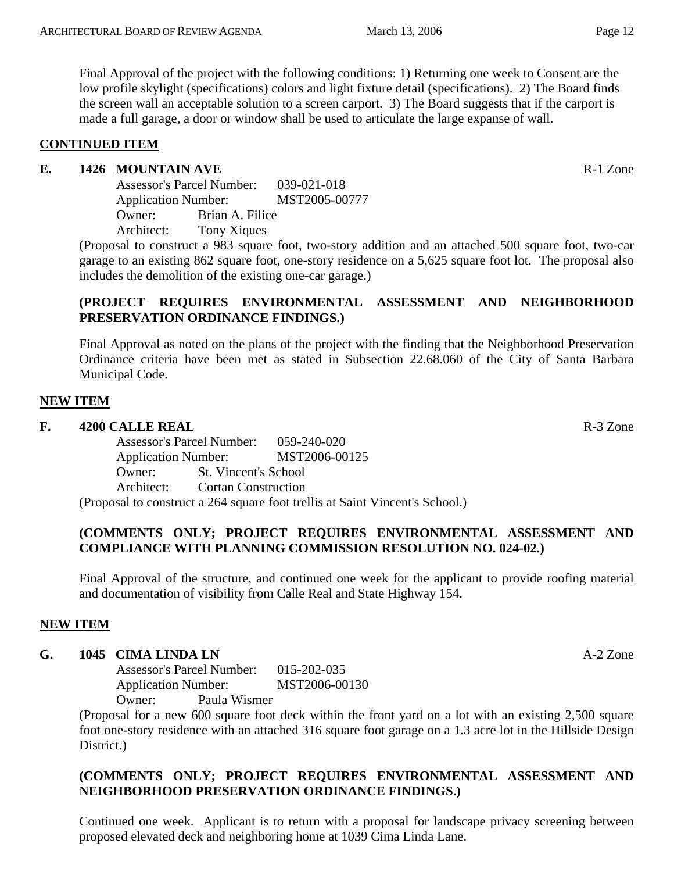Final Approval of the project with the following conditions: 1) Returning one week to Consent are the low profile skylight (specifications) colors and light fixture detail (specifications). 2) The Board finds the screen wall an acceptable solution to a screen carport. 3) The Board suggests that if the carport is made a full garage, a door or window shall be used to articulate the large expanse of wall.

#### **CONTINUED ITEM**

#### **E.** 1426 MOUNTAIN AVE **Reserves Reserves Reserves Reserves**

Assessor's Parcel Number: 039-021-018 Application Number: MST2005-00777 Owner: Brian A. Filice Architect: Tony Xiques

(Proposal to construct a 983 square foot, two-story addition and an attached 500 square foot, two-car garage to an existing 862 square foot, one-story residence on a 5,625 square foot lot. The proposal also includes the demolition of the existing one-car garage.)

#### **(PROJECT REQUIRES ENVIRONMENTAL ASSESSMENT AND NEIGHBORHOOD PRESERVATION ORDINANCE FINDINGS.)**

Final Approval as noted on the plans of the project with the finding that the Neighborhood Preservation Ordinance criteria have been met as stated in Subsection 22.68.060 of the City of Santa Barbara Municipal Code.

#### **NEW ITEM**

## **F. 4200 CALLE REAL** R-3 Zone

Assessor's Parcel Number: 059-240-020 Application Number: MST2006-00125 Owner: St. Vincent's School Architect: Cortan Construction (Proposal to construct a 264 square foot trellis at Saint Vincent's School.)

#### **(COMMENTS ONLY; PROJECT REQUIRES ENVIRONMENTAL ASSESSMENT AND COMPLIANCE WITH PLANNING COMMISSION RESOLUTION NO. 024-02.)**

Final Approval of the structure, and continued one week for the applicant to provide roofing material and documentation of visibility from Calle Real and State Highway 154.

# **NEW ITEM**

## **G. 1045 CIMA LINDA LN** A-2 Zone

Assessor's Parcel Number: 015-202-035 Application Number: MST2006-00130 Owner: Paula Wismer

(Proposal for a new 600 square foot deck within the front yard on a lot with an existing 2,500 square foot one-story residence with an attached 316 square foot garage on a 1.3 acre lot in the Hillside Design District.)

#### **(COMMENTS ONLY; PROJECT REQUIRES ENVIRONMENTAL ASSESSMENT AND NEIGHBORHOOD PRESERVATION ORDINANCE FINDINGS.)**

Continued one week. Applicant is to return with a proposal for landscape privacy screening between proposed elevated deck and neighboring home at 1039 Cima Linda Lane.